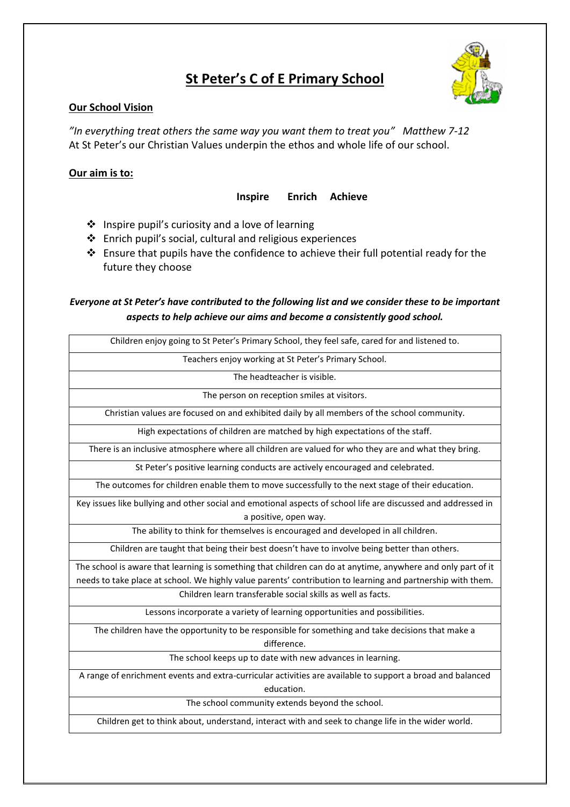# **St Peter's C of E Primary School**



### **Our School Vision**

*"In everything treat others the same way you want them to treat you" Matthew 7-12*  At St Peter's our Christian Values underpin the ethos and whole life of our school.

### **Our aim is to:**

#### **Inspire Enrich Achieve**

- ❖ Inspire pupil's curiosity and a love of learning
- ❖ Enrich pupil's social, cultural and religious experiences
- ❖ Ensure that pupils have the confidence to achieve their full potential ready for the future they choose

## *Everyone at St Peter's have contributed to the following list and we consider these to be important aspects to help achieve our aims and become a consistently good school.*

| Children enjoy going to St Peter's Primary School, they feel safe, cared for and listened to.                 |
|---------------------------------------------------------------------------------------------------------------|
| Teachers enjoy working at St Peter's Primary School.                                                          |
| The headteacher is visible.                                                                                   |
| The person on reception smiles at visitors.                                                                   |
| Christian values are focused on and exhibited daily by all members of the school community.                   |
| High expectations of children are matched by high expectations of the staff.                                  |
| There is an inclusive atmosphere where all children are valued for who they are and what they bring.          |
| St Peter's positive learning conducts are actively encouraged and celebrated.                                 |
| The outcomes for children enable them to move successfully to the next stage of their education.              |
| Key issues like bullying and other social and emotional aspects of school life are discussed and addressed in |
| a positive, open way.                                                                                         |
| The ability to think for themselves is encouraged and developed in all children.                              |
| Children are taught that being their best doesn't have to involve being better than others.                   |
| The school is aware that learning is something that children can do at anytime, anywhere and only part of it  |
| needs to take place at school. We highly value parents' contribution to learning and partnership with them.   |
| Children learn transferable social skills as well as facts.                                                   |
| Lessons incorporate a variety of learning opportunities and possibilities.                                    |
| The children have the opportunity to be responsible for something and take decisions that make a              |
| difference.                                                                                                   |
| The school keeps up to date with new advances in learning.                                                    |
| A range of enrichment events and extra-curricular activities are available to support a broad and balanced    |
| education.                                                                                                    |

The school community extends beyond the school.

Children get to think about, understand, interact with and seek to change life in the wider world.